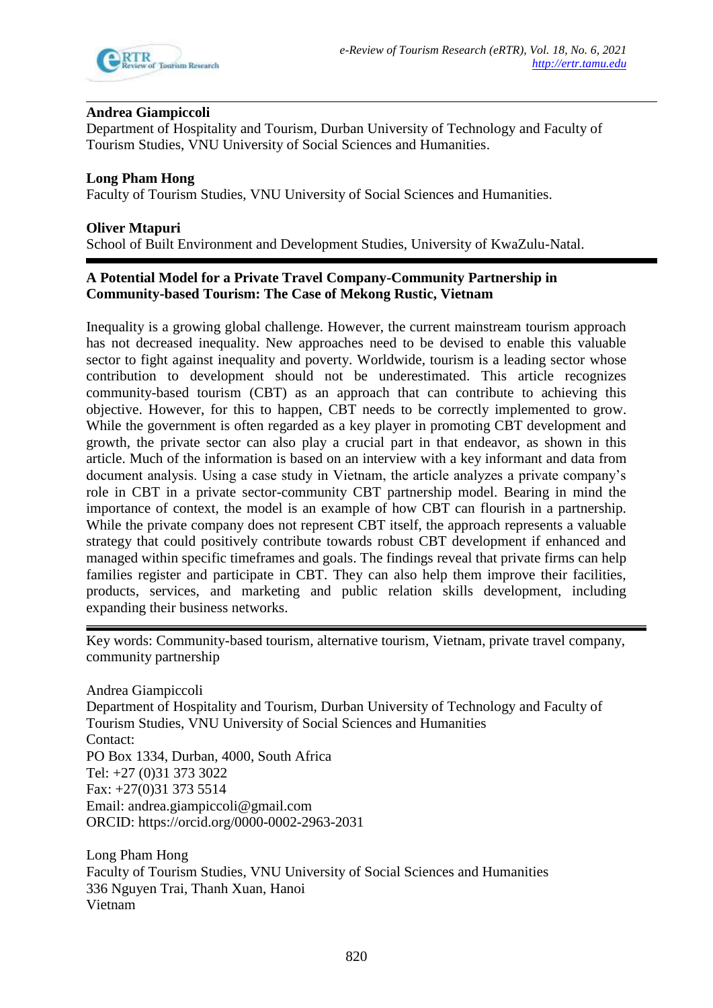

# **Andrea Giampiccoli**

Department of Hospitality and Tourism, Durban University of Technology and Faculty of Tourism Studies, VNU University of Social Sciences and Humanities.

**Long Pham Hong**  Faculty of Tourism Studies, VNU University of Social Sciences and Humanities.

**Oliver Mtapuri**

School of Built Environment and Development Studies, University of KwaZulu-Natal.

# **A Potential Model for a Private Travel Company-Community Partnership in Community-based Tourism: The Case of Mekong Rustic, Vietnam**

Inequality is a growing global challenge. However, the current mainstream tourism approach has not decreased inequality. New approaches need to be devised to enable this valuable sector to fight against inequality and poverty. Worldwide, tourism is a leading sector whose contribution to development should not be underestimated. This article recognizes community-based tourism (CBT) as an approach that can contribute to achieving this objective. However, for this to happen, CBT needs to be correctly implemented to grow. While the government is often regarded as a key player in promoting CBT development and growth, the private sector can also play a crucial part in that endeavor, as shown in this article. Much of the information is based on an interview with a key informant and data from document analysis. Using a case study in Vietnam, the article analyzes a private company's role in CBT in a private sector-community CBT partnership model. Bearing in mind the importance of context, the model is an example of how CBT can flourish in a partnership. While the private company does not represent CBT itself, the approach represents a valuable strategy that could positively contribute towards robust CBT development if enhanced and managed within specific timeframes and goals. The findings reveal that private firms can help families register and participate in CBT. They can also help them improve their facilities, products, services, and marketing and public relation skills development, including expanding their business networks.

Key words: Community-based tourism, alternative tourism, Vietnam, private travel company, community partnership

Andrea Giampiccoli Department of Hospitality and Tourism, Durban University of Technology and Faculty of Tourism Studies, VNU University of Social Sciences and Humanities Contact: PO Box 1334, Durban, 4000, South Africa Tel: +27 (0)31 373 3022 Fax: +27(0)31 373 5514 Email: andrea.giampiccoli@gmail.com ORCID: https://orcid.org/0000-0002-2963-2031

Long Pham Hong Faculty of Tourism Studies, VNU University of Social Sciences and Humanities 336 Nguyen Trai, Thanh Xuan, Hanoi Vietnam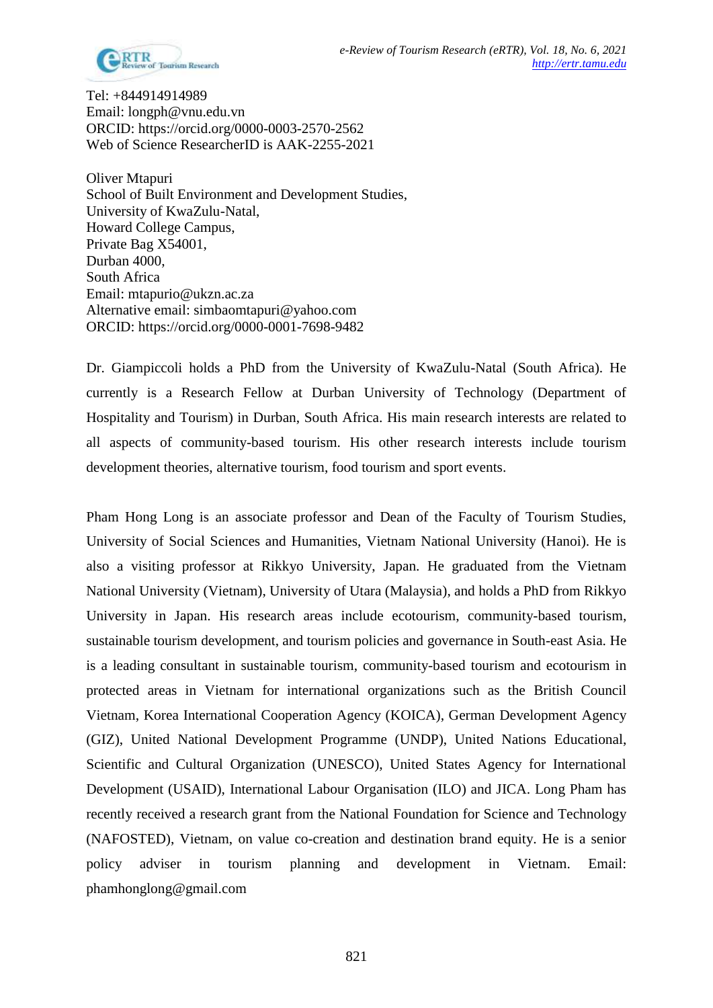

Tel: +844914914989 Email: longph@vnu.edu.vn ORCID: https://orcid.org/0000-0003-2570-2562 Web of Science ResearcherID is AAK-2255-2021

Oliver Mtapuri School of Built Environment and Development Studies, University of KwaZulu-Natal, Howard College Campus, Private Bag X54001, Durban 4000, South Africa Email: mtapurio@ukzn.ac.za Alternative email: simbaomtapuri@yahoo.com ORCID: https://orcid.org/0000-0001-7698-9482

Dr. Giampiccoli holds a PhD from the University of KwaZulu-Natal (South Africa). He currently is a Research Fellow at Durban University of Technology (Department of Hospitality and Tourism) in Durban, South Africa. His main research interests are related to all aspects of community-based tourism. His other research interests include tourism development theories, alternative tourism, food tourism and sport events.

Pham Hong Long is an associate professor and Dean of the Faculty of Tourism Studies, University of Social Sciences and Humanities, Vietnam National University (Hanoi). He is also a visiting professor at Rikkyo University, Japan. He graduated from the Vietnam National University (Vietnam), University of Utara (Malaysia), and holds a PhD from Rikkyo University in Japan. His research areas include ecotourism, community-based tourism, sustainable tourism development, and tourism policies and governance in South-east Asia. He is a leading consultant in sustainable tourism, community-based tourism and ecotourism in protected areas in Vietnam for international organizations such as the British Council Vietnam, Korea International Cooperation Agency (KOICA), German Development Agency (GIZ), United National Development Programme (UNDP), United Nations Educational, Scientific and Cultural Organization (UNESCO), United States Agency for International Development (USAID), International Labour Organisation (ILO) and JICA. Long Pham has recently received a research grant from the National Foundation for Science and Technology (NAFOSTED), Vietnam, on value co-creation and destination brand equity. He is a senior policy adviser in tourism planning and development in Vietnam. Email: phamhonglong@gmail.com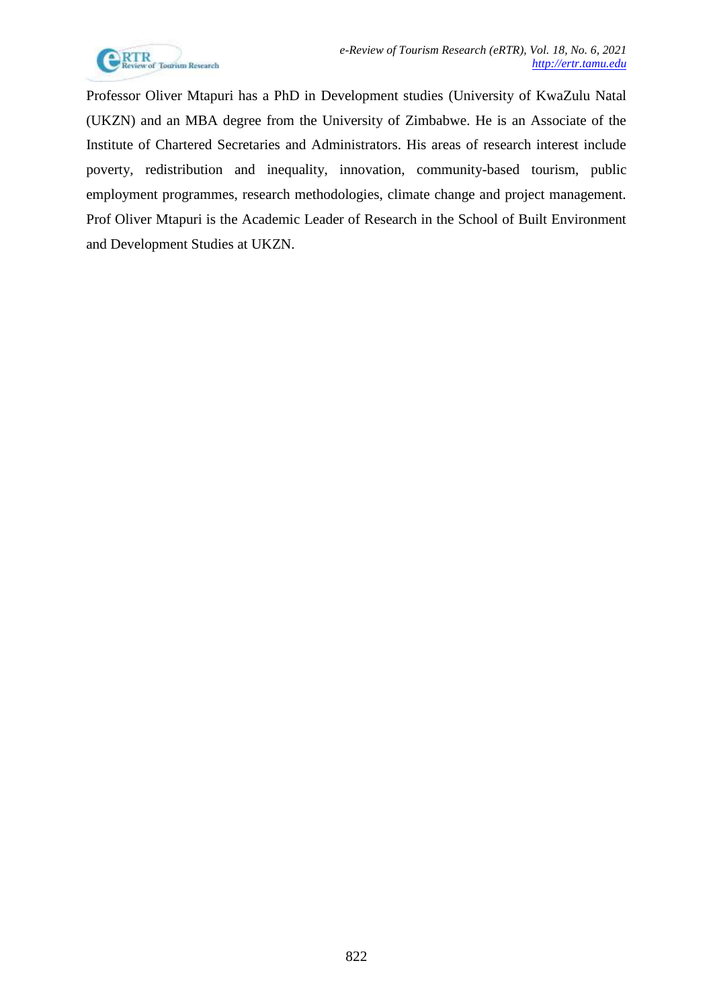

Professor Oliver Mtapuri has a PhD in Development studies (University of KwaZulu Natal (UKZN) and an MBA degree from the University of Zimbabwe. He is an Associate of the Institute of Chartered Secretaries and Administrators. His areas of research interest include poverty, redistribution and inequality, innovation, community-based tourism, public employment programmes, research methodologies, climate change and project management. Prof Oliver Mtapuri is the Academic Leader of Research in the School of Built Environment and Development Studies at UKZN.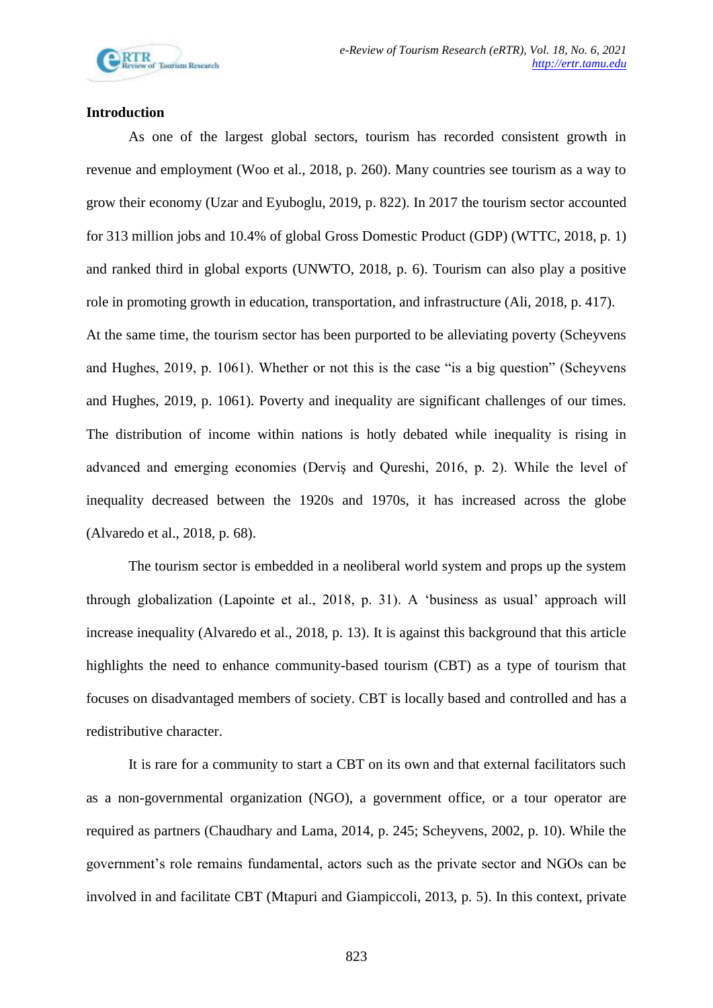## **Introduction**

As one of the largest global sectors, tourism has recorded consistent growth in revenue and employment (Woo et al., 2018, p. 260). Many countries see tourism as a way to grow their economy (Uzar and Eyuboglu, 2019, p. 822). In 2017 the tourism sector accounted for 313 million jobs and 10.4% of global Gross Domestic Product (GDP) (WTTC, 2018, p. 1) and ranked third in global exports (UNWTO, 2018, p. 6). Tourism can also play a positive role in promoting growth in education, transportation, and infrastructure (Ali, 2018, p. 417). At the same time, the tourism sector has been purported to be alleviating poverty (Scheyvens and Hughes, 2019, p. 1061). Whether or not this is the case "is a big question" (Scheyvens and Hughes, 2019, p. 1061). Poverty and inequality are significant challenges of our times. The distribution of income within nations is hotly debated while inequality is rising in advanced and emerging economies (Derviş and Qureshi, 2016, p. 2). While the level of inequality decreased between the 1920s and 1970s, it has increased across the globe (Alvaredo et al., 2018, p. 68).

The tourism sector is embedded in a neoliberal world system and props up the system through globalization (Lapointe et al., 2018, p. 31). A 'business as usual' approach will increase inequality (Alvaredo et al., 2018, p. 13). It is against this background that this article highlights the need to enhance community-based tourism (CBT) as a type of tourism that focuses on disadvantaged members of society. CBT is locally based and controlled and has a redistributive character.

It is rare for a community to start a CBT on its own and that external facilitators such as a non-governmental organization (NGO), a government office, or a tour operator are required as partners (Chaudhary and Lama, 2014, p. 245; Scheyvens, 2002, p. 10). While the government's role remains fundamental, actors such as the private sector and NGOs can be involved in and facilitate CBT (Mtapuri and Giampiccoli, 2013, p. 5). In this context, private

823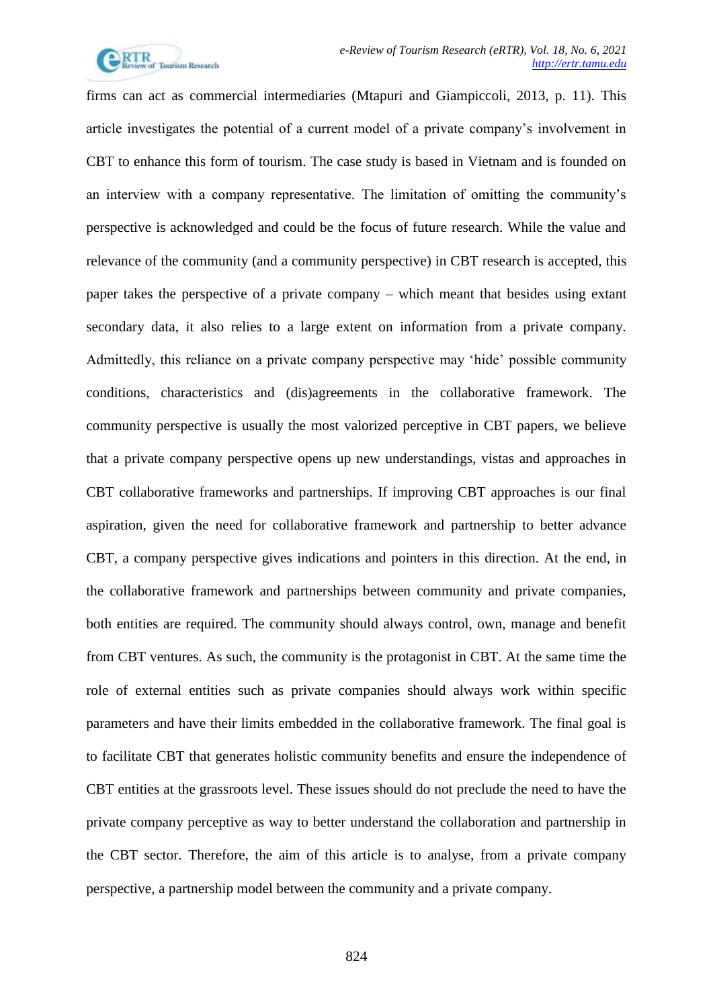

firms can act as commercial intermediaries (Mtapuri and Giampiccoli, 2013, p. 11). This article investigates the potential of a current model of a private company's involvement in CBT to enhance this form of tourism. The case study is based in Vietnam and is founded on an interview with a company representative. The limitation of omitting the community's perspective is acknowledged and could be the focus of future research. While the value and relevance of the community (and a community perspective) in CBT research is accepted, this paper takes the perspective of a private company – which meant that besides using extant secondary data, it also relies to a large extent on information from a private company. Admittedly, this reliance on a private company perspective may 'hide' possible community conditions, characteristics and (dis)agreements in the collaborative framework. The community perspective is usually the most valorized perceptive in CBT papers, we believe that a private company perspective opens up new understandings, vistas and approaches in CBT collaborative frameworks and partnerships. If improving CBT approaches is our final aspiration, given the need for collaborative framework and partnership to better advance CBT, a company perspective gives indications and pointers in this direction. At the end, in the collaborative framework and partnerships between community and private companies, both entities are required. The community should always control, own, manage and benefit from CBT ventures. As such, the community is the protagonist in CBT. At the same time the role of external entities such as private companies should always work within specific parameters and have their limits embedded in the collaborative framework. The final goal is to facilitate CBT that generates holistic community benefits and ensure the independence of CBT entities at the grassroots level. These issues should do not preclude the need to have the private company perceptive as way to better understand the collaboration and partnership in the CBT sector. Therefore, the aim of this article is to analyse, from a private company perspective, a partnership model between the community and a private company.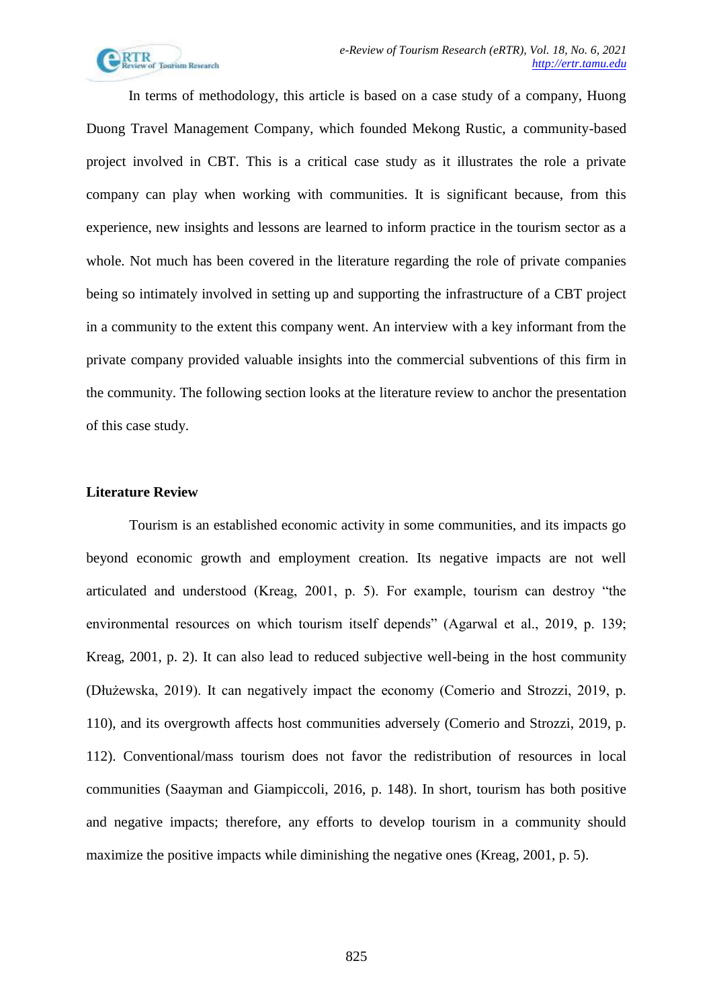

In terms of methodology, this article is based on a case study of a company, Huong Duong Travel Management Company, which founded Mekong Rustic, a community-based project involved in CBT. This is a critical case study as it illustrates the role a private company can play when working with communities. It is significant because, from this experience, new insights and lessons are learned to inform practice in the tourism sector as a whole. Not much has been covered in the literature regarding the role of private companies being so intimately involved in setting up and supporting the infrastructure of a CBT project in a community to the extent this company went. An interview with a key informant from the private company provided valuable insights into the commercial subventions of this firm in the community. The following section looks at the literature review to anchor the presentation of this case study.

### **Literature Review**

Tourism is an established economic activity in some communities, and its impacts go beyond economic growth and employment creation. Its negative impacts are not well articulated and understood (Kreag, 2001, p. 5). For example, tourism can destroy "the environmental resources on which tourism itself depends" (Agarwal et al., 2019, p. 139; Kreag, 2001, p. 2). It can also lead to reduced subjective well-being in the host community (Dłużewska, 2019). It can negatively impact the economy (Comerio and Strozzi, 2019, p. 110), and its overgrowth affects host communities adversely (Comerio and Strozzi, 2019, p. 112). Conventional/mass tourism does not favor the redistribution of resources in local communities (Saayman and Giampiccoli, 2016, p. 148). In short, tourism has both positive and negative impacts; therefore, any efforts to develop tourism in a community should maximize the positive impacts while diminishing the negative ones (Kreag, 2001, p. 5).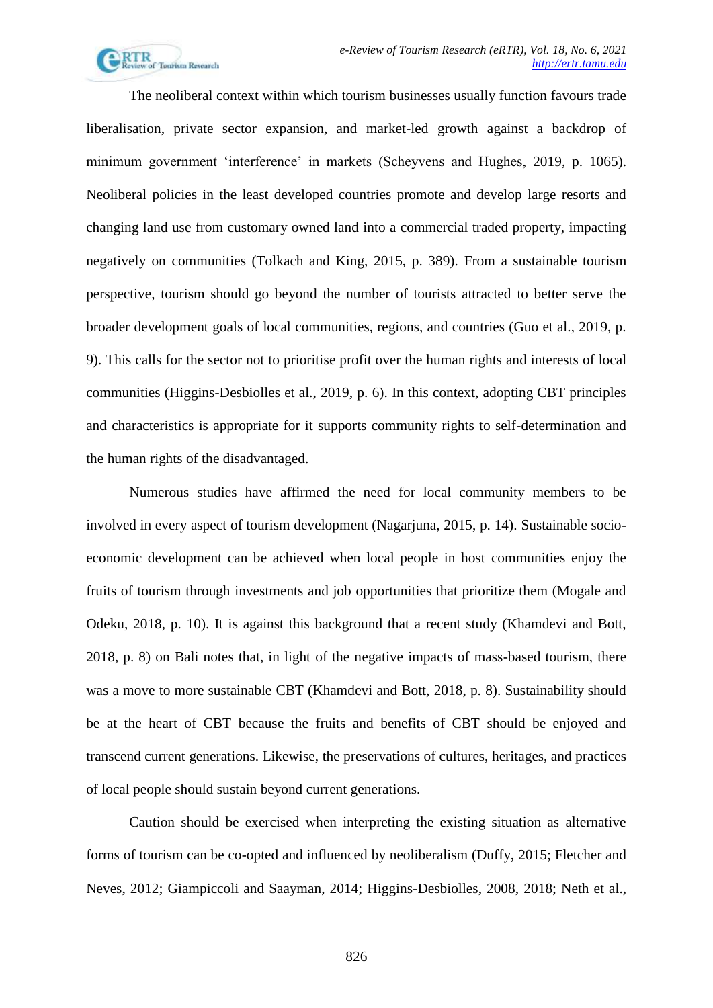

The neoliberal context within which tourism businesses usually function favours trade liberalisation, private sector expansion, and market-led growth against a backdrop of minimum government 'interference' in markets (Scheyvens and Hughes, 2019, p. 1065). Neoliberal policies in the least developed countries promote and develop large resorts and changing land use from customary owned land into a commercial traded property, impacting negatively on communities (Tolkach and King, 2015, p. 389). From a sustainable tourism perspective, tourism should go beyond the number of tourists attracted to better serve the broader development goals of local communities, regions, and countries (Guo et al., 2019, p. 9). This calls for the sector not to prioritise profit over the human rights and interests of local communities (Higgins-Desbiolles et al., 2019, p. 6). In this context, adopting CBT principles and characteristics is appropriate for it supports community rights to self-determination and the human rights of the disadvantaged.

Numerous studies have affirmed the need for local community members to be involved in every aspect of tourism development (Nagarjuna, 2015, p. 14). Sustainable socioeconomic development can be achieved when local people in host communities enjoy the fruits of tourism through investments and job opportunities that prioritize them (Mogale and Odeku, 2018, p. 10). It is against this background that a recent study (Khamdevi and Bott, 2018, p. 8) on Bali notes that, in light of the negative impacts of mass-based tourism, there was a move to more sustainable CBT (Khamdevi and Bott, 2018, p. 8). Sustainability should be at the heart of CBT because the fruits and benefits of CBT should be enjoyed and transcend current generations. Likewise, the preservations of cultures, heritages, and practices of local people should sustain beyond current generations.

Caution should be exercised when interpreting the existing situation as alternative forms of tourism can be co-opted and influenced by neoliberalism (Duffy, 2015; Fletcher and Neves, 2012; Giampiccoli and Saayman, 2014; Higgins-Desbiolles, 2008, 2018; Neth et al.,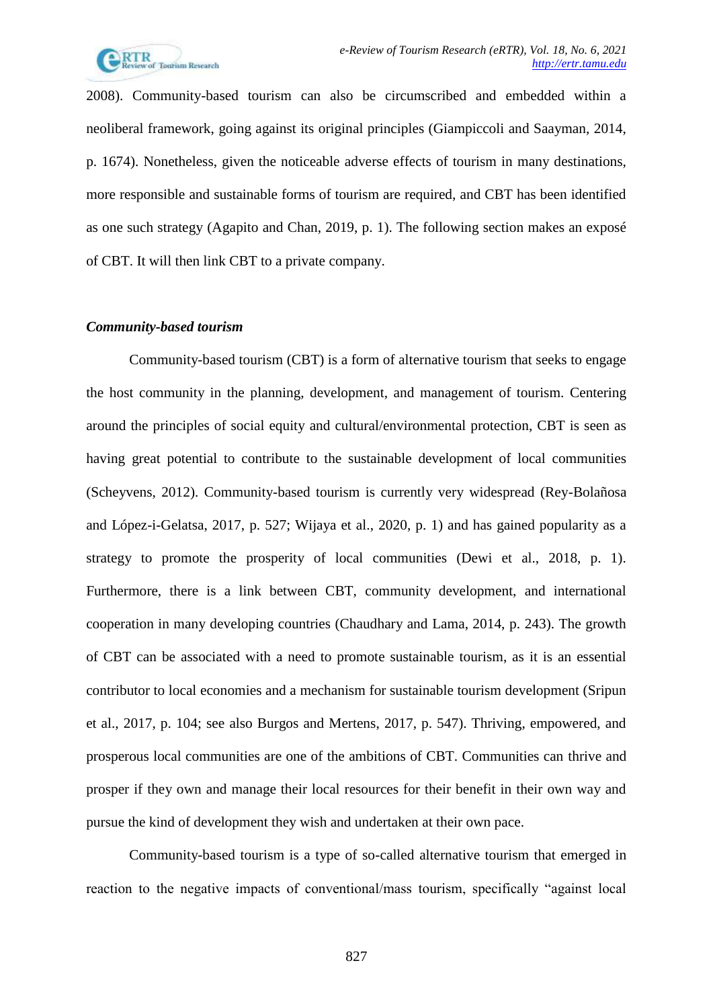

2008). Community-based tourism can also be circumscribed and embedded within a neoliberal framework, going against its original principles (Giampiccoli and Saayman, 2014, p. 1674). Nonetheless, given the noticeable adverse effects of tourism in many destinations, more responsible and sustainable forms of tourism are required, and CBT has been identified as one such strategy (Agapito and Chan, 2019, p. 1). The following section makes an exposé of CBT. It will then link CBT to a private company.

### *Community-based tourism*

Community-based tourism (CBT) is a form of alternative tourism that seeks to engage the host community in the planning, development, and management of tourism. Centering around the principles of social equity and cultural/environmental protection, CBT is seen as having great potential to contribute to the sustainable development of local communities (Scheyvens, 2012). Community-based tourism is currently very widespread (Rey-Bolañosa and López-i-Gelatsa, 2017, p. 527; Wijaya et al., 2020, p. 1) and has gained popularity as a strategy to promote the prosperity of local communities (Dewi et al., 2018, p. 1). Furthermore, there is a link between CBT, community development, and international cooperation in many developing countries (Chaudhary and Lama, 2014, p. 243). The growth of CBT can be associated with a need to promote sustainable tourism, as it is an essential contributor to local economies and a mechanism for sustainable tourism development (Sripun et al., 2017, p. 104; see also Burgos and Mertens, 2017, p. 547). Thriving, empowered, and prosperous local communities are one of the ambitions of CBT. Communities can thrive and prosper if they own and manage their local resources for their benefit in their own way and pursue the kind of development they wish and undertaken at their own pace.

Community-based tourism is a type of so-called alternative tourism that emerged in reaction to the negative impacts of conventional/mass tourism, specifically "against local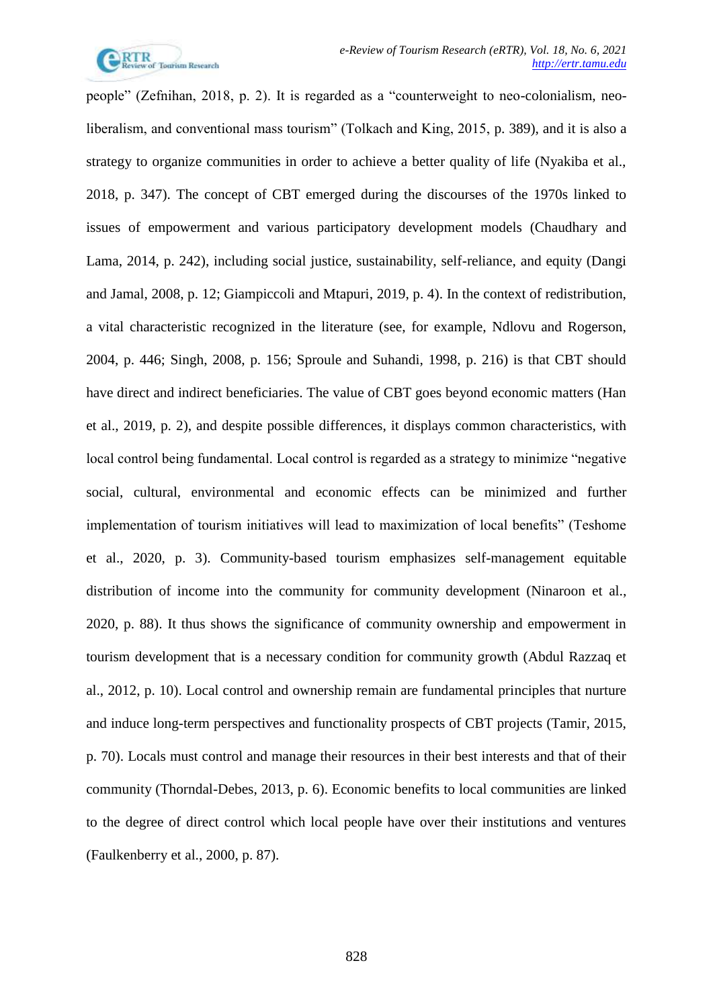

people" (Zefnihan, 2018, p. 2). It is regarded as a "counterweight to neo-colonialism, neoliberalism, and conventional mass tourism" (Tolkach and King, 2015, p. 389), and it is also a strategy to organize communities in order to achieve a better quality of life (Nyakiba et al., 2018, p. 347). The concept of CBT emerged during the discourses of the 1970s linked to issues of empowerment and various participatory development models (Chaudhary and Lama, 2014, p. 242), including social justice, sustainability, self-reliance, and equity (Dangi and Jamal, 2008, p. 12; Giampiccoli and Mtapuri, 2019, p. 4). In the context of redistribution, a vital characteristic recognized in the literature (see, for example, Ndlovu and Rogerson, 2004, p. 446; Singh, 2008, p. 156; Sproule and Suhandi, 1998, p. 216) is that CBT should have direct and indirect beneficiaries. The value of CBT goes beyond economic matters (Han et al., 2019, p. 2), and despite possible differences, it displays common characteristics, with local control being fundamental. Local control is regarded as a strategy to minimize "negative social, cultural, environmental and economic effects can be minimized and further implementation of tourism initiatives will lead to maximization of local benefits" (Teshome et al., 2020, p. 3). Community-based tourism emphasizes self-management equitable distribution of income into the community for community development (Ninaroon et al., 2020, p. 88). It thus shows the significance of community ownership and empowerment in tourism development that is a necessary condition for community growth (Abdul Razzaq et al., 2012, p. 10). Local control and ownership remain are fundamental principles that nurture and induce long-term perspectives and functionality prospects of CBT projects (Tamir, 2015, p. 70). Locals must control and manage their resources in their best interests and that of their community (Thorndal-Debes, 2013, p. 6). Economic benefits to local communities are linked to the degree of direct control which local people have over their institutions and ventures (Faulkenberry et al., 2000, p. 87).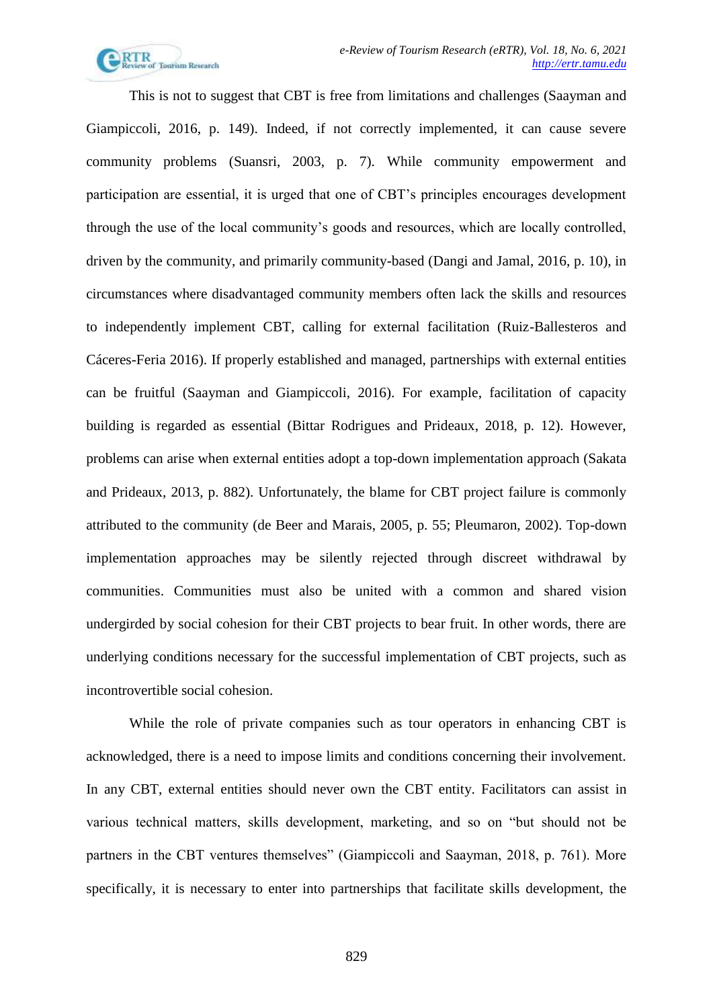

This is not to suggest that CBT is free from limitations and challenges (Saayman and Giampiccoli, 2016, p. 149). Indeed, if not correctly implemented, it can cause severe community problems (Suansri, 2003, p. 7). While community empowerment and participation are essential, it is urged that one of CBT's principles encourages development through the use of the local community's goods and resources, which are locally controlled, driven by the community, and primarily community-based (Dangi and Jamal, 2016, p. 10), in circumstances where disadvantaged community members often lack the skills and resources to independently implement CBT, calling for external facilitation (Ruiz-Ballesteros and Cáceres-Feria 2016). If properly established and managed, partnerships with external entities can be fruitful (Saayman and Giampiccoli, 2016). For example, facilitation of capacity building is regarded as essential (Bittar Rodrigues and Prideaux, 2018, p. 12). However, problems can arise when external entities adopt a top-down implementation approach (Sakata and Prideaux, 2013, p. 882). Unfortunately, the blame for CBT project failure is commonly attributed to the community (de Beer and Marais, 2005, p. 55; Pleumaron, 2002). Top-down implementation approaches may be silently rejected through discreet withdrawal by communities. Communities must also be united with a common and shared vision undergirded by social cohesion for their CBT projects to bear fruit. In other words, there are underlying conditions necessary for the successful implementation of CBT projects, such as incontrovertible social cohesion.

While the role of private companies such as tour operators in enhancing CBT is acknowledged, there is a need to impose limits and conditions concerning their involvement. In any CBT, external entities should never own the CBT entity. Facilitators can assist in various technical matters, skills development, marketing, and so on "but should not be partners in the CBT ventures themselves" (Giampiccoli and Saayman, 2018, p. 761). More specifically, it is necessary to enter into partnerships that facilitate skills development, the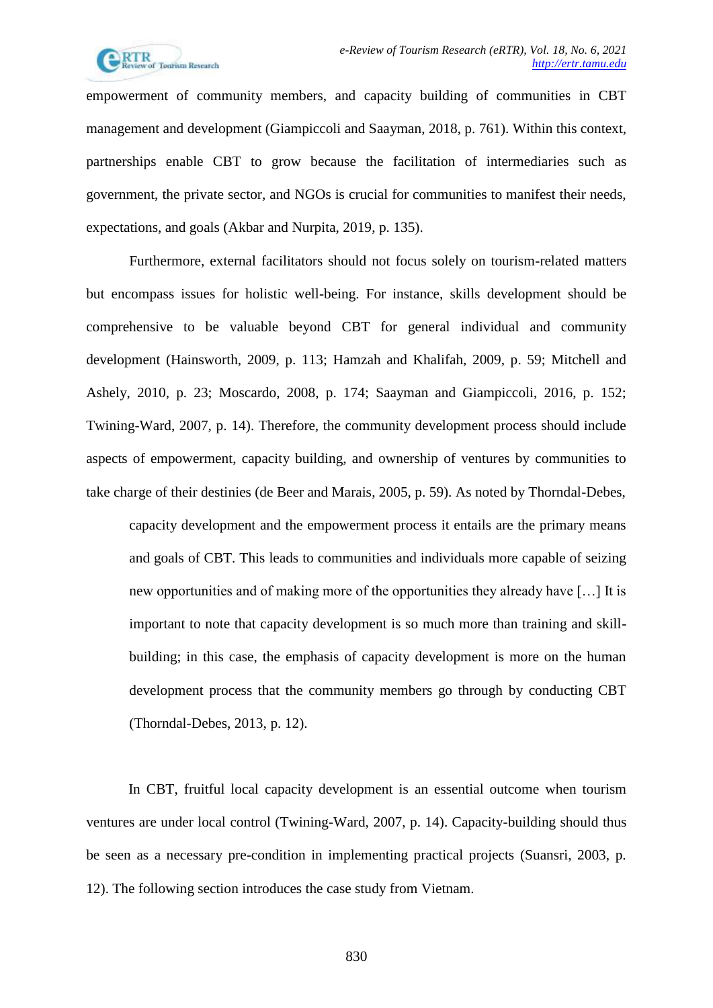

empowerment of community members, and capacity building of communities in CBT management and development (Giampiccoli and Saayman, 2018, p. 761). Within this context, partnerships enable CBT to grow because the facilitation of intermediaries such as government, the private sector, and NGOs is crucial for communities to manifest their needs, expectations, and goals (Akbar and Nurpita, 2019, p. 135).

Furthermore, external facilitators should not focus solely on tourism-related matters but encompass issues for holistic well-being. For instance, skills development should be comprehensive to be valuable beyond CBT for general individual and community development (Hainsworth, 2009, p. 113; Hamzah and Khalifah, 2009, p. 59; Mitchell and Ashely, 2010, p. 23; Moscardo, 2008, p. 174; Saayman and Giampiccoli, 2016, p. 152; Twining-Ward, 2007, p. 14). Therefore, the community development process should include aspects of empowerment, capacity building, and ownership of ventures by communities to take charge of their destinies (de Beer and Marais, 2005, p. 59). As noted by Thorndal-Debes, capacity development and the empowerment process it entails are the primary means and goals of CBT. This leads to communities and individuals more capable of seizing new opportunities and of making more of the opportunities they already have […] It is important to note that capacity development is so much more than training and skillbuilding; in this case, the emphasis of capacity development is more on the human development process that the community members go through by conducting CBT

(Thorndal-Debes, 2013, p. 12).

In CBT, fruitful local capacity development is an essential outcome when tourism ventures are under local control (Twining-Ward, 2007, p. 14). Capacity-building should thus be seen as a necessary pre-condition in implementing practical projects (Suansri, 2003, p. 12). The following section introduces the case study from Vietnam.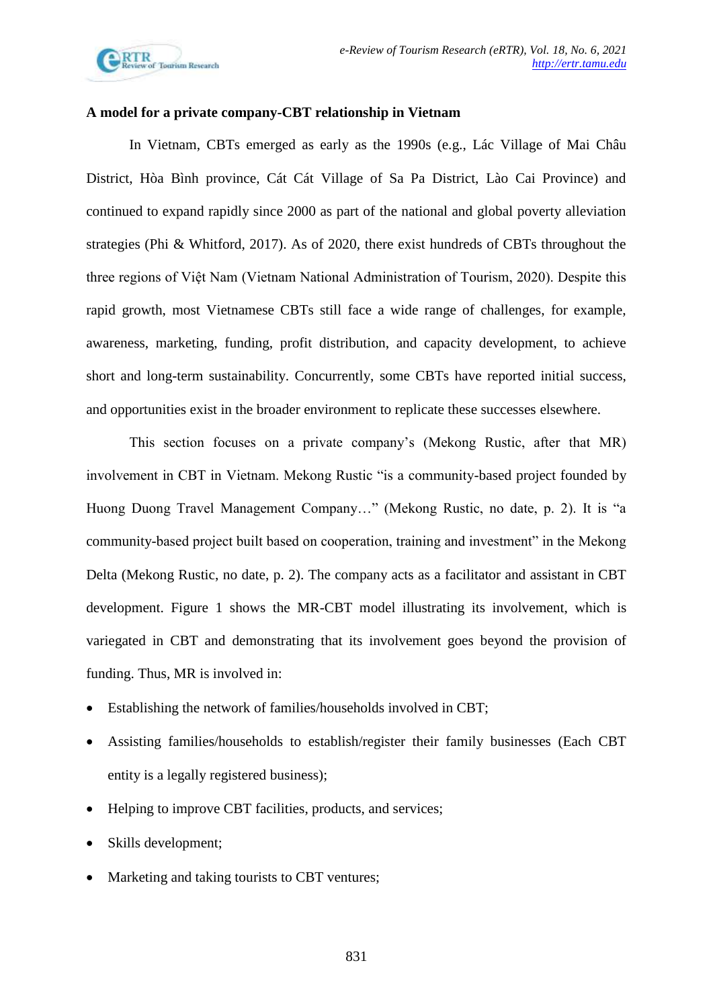

## **A model for a private company-CBT relationship in Vietnam**

In Vietnam, CBTs emerged as early as the 1990s (e.g., Lác Village of Mai Châu District, Hòa Bình province, Cát Cát Village of Sa Pa District, Lào Cai Province) and continued to expand rapidly since 2000 as part of the national and global poverty alleviation strategies (Phi & Whitford, 2017). As of 2020, there exist hundreds of CBTs throughout the three regions of Việt Nam (Vietnam National Administration of Tourism, 2020). Despite this rapid growth, most Vietnamese CBTs still face a wide range of challenges, for example, awareness, marketing, funding, profit distribution, and capacity development, to achieve short and long-term sustainability. Concurrently, some CBTs have reported initial success, and opportunities exist in the broader environment to replicate these successes elsewhere.

This section focuses on a private company's (Mekong Rustic, after that MR) involvement in CBT in Vietnam. Mekong Rustic "is a community-based project founded by Huong Duong Travel Management Company…" (Mekong Rustic, no date, p. 2). It is "a community-based project built based on cooperation, training and investment" in the Mekong Delta (Mekong Rustic, no date, p. 2). The company acts as a facilitator and assistant in CBT development. Figure 1 shows the MR-CBT model illustrating its involvement, which is variegated in CBT and demonstrating that its involvement goes beyond the provision of funding. Thus, MR is involved in:

- Establishing the network of families/households involved in CBT;
- Assisting families/households to establish/register their family businesses (Each CBT entity is a legally registered business);
- Helping to improve CBT facilities, products, and services;
- Skills development;
- Marketing and taking tourists to CBT ventures;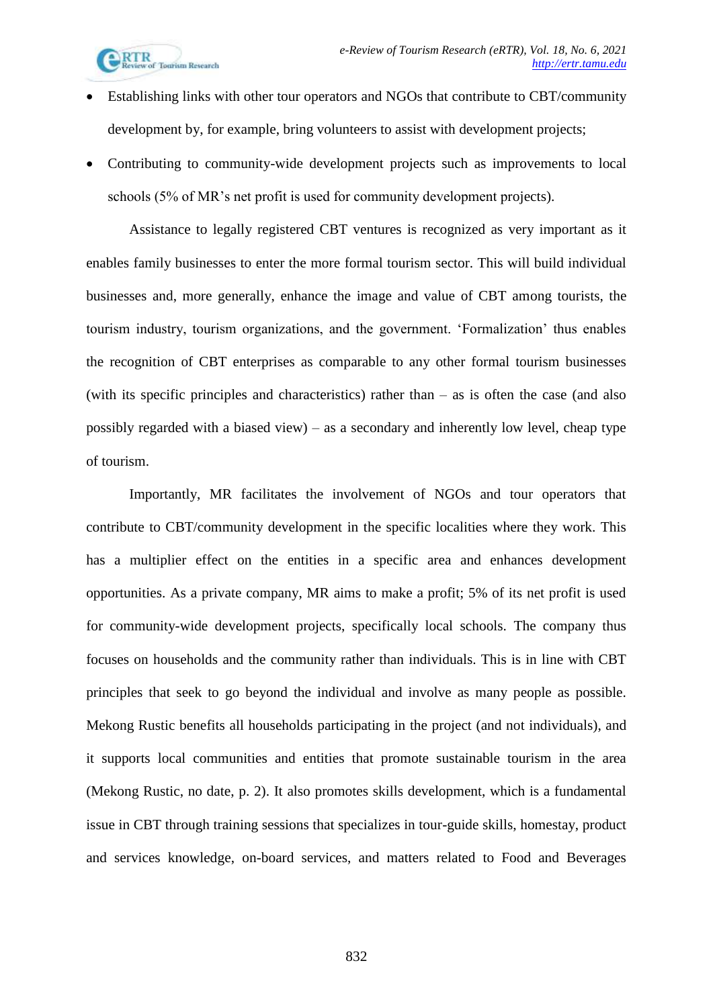

- Establishing links with other tour operators and NGOs that contribute to CBT/community development by, for example, bring volunteers to assist with development projects;
- Contributing to community-wide development projects such as improvements to local schools (5% of MR's net profit is used for community development projects).

Assistance to legally registered CBT ventures is recognized as very important as it enables family businesses to enter the more formal tourism sector. This will build individual businesses and, more generally, enhance the image and value of CBT among tourists, the tourism industry, tourism organizations, and the government. 'Formalization' thus enables the recognition of CBT enterprises as comparable to any other formal tourism businesses (with its specific principles and characteristics) rather than – as is often the case (and also possibly regarded with a biased view) – as a secondary and inherently low level, cheap type of tourism.

Importantly, MR facilitates the involvement of NGOs and tour operators that contribute to CBT/community development in the specific localities where they work. This has a multiplier effect on the entities in a specific area and enhances development opportunities. As a private company, MR aims to make a profit; 5% of its net profit is used for community-wide development projects, specifically local schools. The company thus focuses on households and the community rather than individuals. This is in line with CBT principles that seek to go beyond the individual and involve as many people as possible. Mekong Rustic benefits all households participating in the project (and not individuals), and it supports local communities and entities that promote sustainable tourism in the area (Mekong Rustic, no date, p. 2). It also promotes skills development, which is a fundamental issue in CBT through training sessions that specializes in tour-guide skills, homestay, product and services knowledge, on-board services, and matters related to Food and Beverages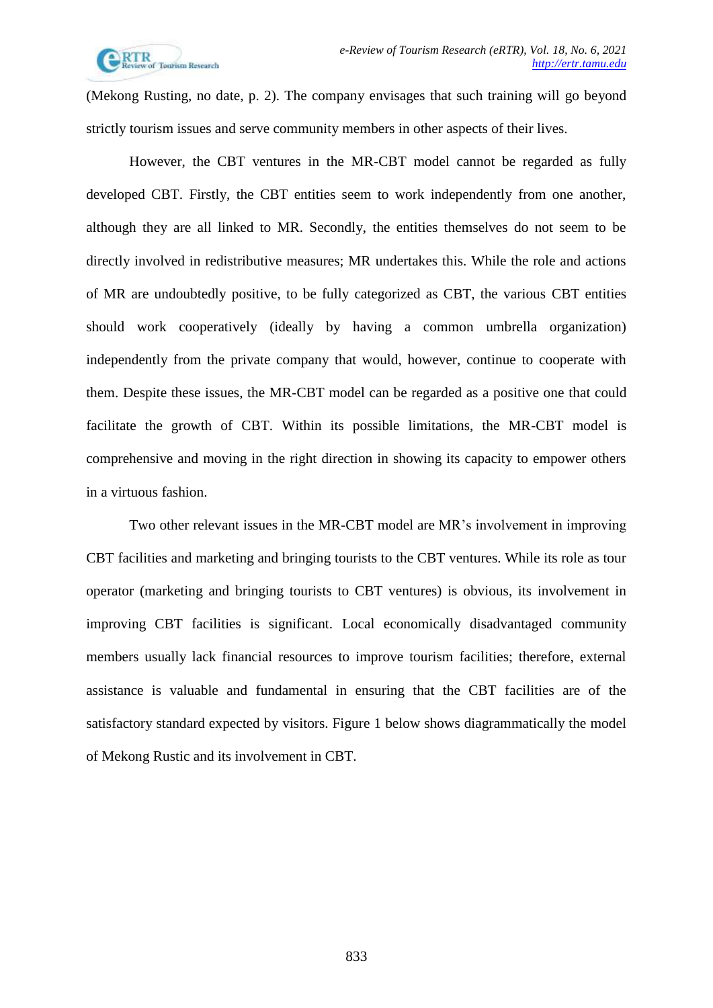

(Mekong Rusting, no date, p. 2). The company envisages that such training will go beyond strictly tourism issues and serve community members in other aspects of their lives.

However, the CBT ventures in the MR-CBT model cannot be regarded as fully developed CBT. Firstly, the CBT entities seem to work independently from one another, although they are all linked to MR. Secondly, the entities themselves do not seem to be directly involved in redistributive measures; MR undertakes this. While the role and actions of MR are undoubtedly positive, to be fully categorized as CBT, the various CBT entities should work cooperatively (ideally by having a common umbrella organization) independently from the private company that would, however, continue to cooperate with them. Despite these issues, the MR-CBT model can be regarded as a positive one that could facilitate the growth of CBT. Within its possible limitations, the MR-CBT model is comprehensive and moving in the right direction in showing its capacity to empower others in a virtuous fashion.

Two other relevant issues in the MR-CBT model are MR's involvement in improving CBT facilities and marketing and bringing tourists to the CBT ventures. While its role as tour operator (marketing and bringing tourists to CBT ventures) is obvious, its involvement in improving CBT facilities is significant. Local economically disadvantaged community members usually lack financial resources to improve tourism facilities; therefore, external assistance is valuable and fundamental in ensuring that the CBT facilities are of the satisfactory standard expected by visitors. Figure 1 below shows diagrammatically the model of Mekong Rustic and its involvement in CBT.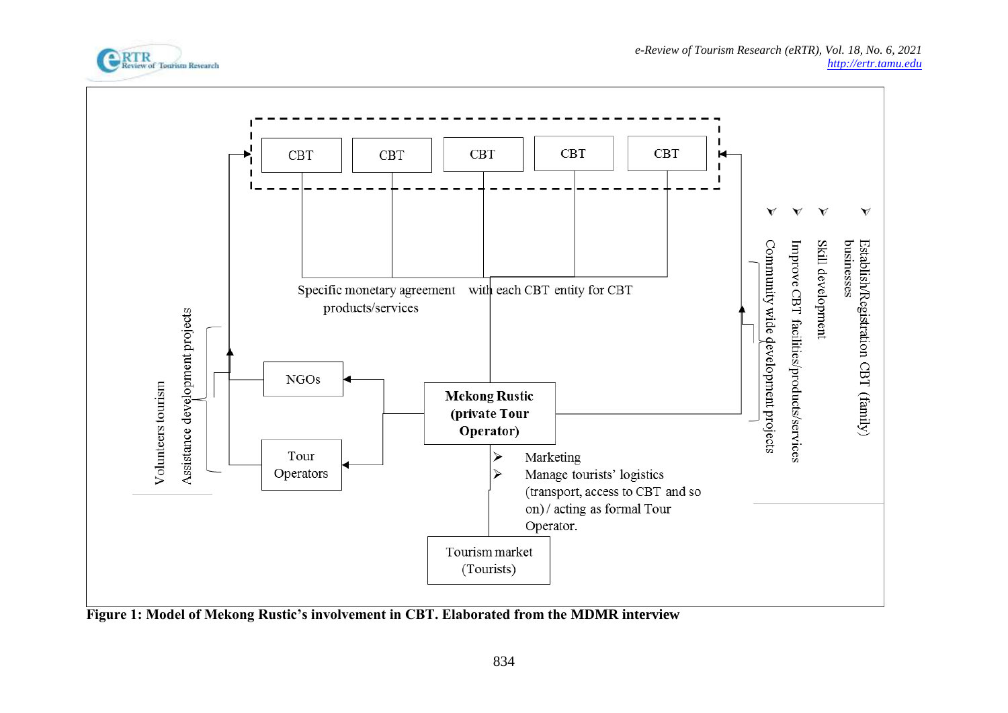



**Figure 1: Model of Mekong Rustic's involvement in CBT. Elaborated from the MDMR interview**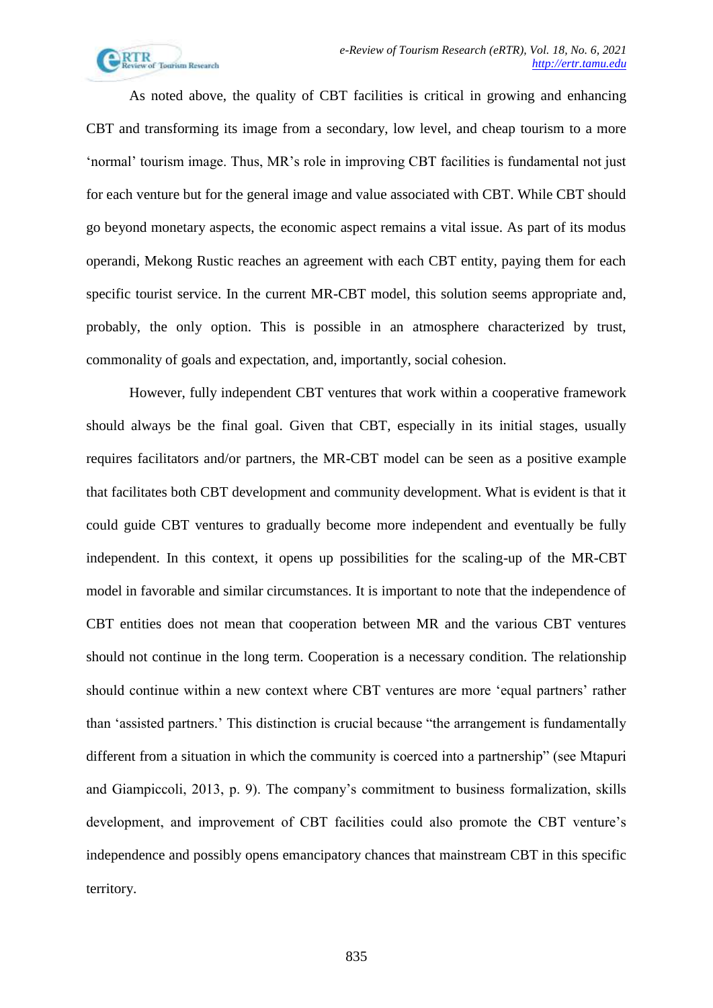

As noted above, the quality of CBT facilities is critical in growing and enhancing CBT and transforming its image from a secondary, low level, and cheap tourism to a more 'normal' tourism image. Thus, MR's role in improving CBT facilities is fundamental not just for each venture but for the general image and value associated with CBT. While CBT should go beyond monetary aspects, the economic aspect remains a vital issue. As part of its modus operandi, Mekong Rustic reaches an agreement with each CBT entity, paying them for each specific tourist service. In the current MR-CBT model, this solution seems appropriate and, probably, the only option. This is possible in an atmosphere characterized by trust, commonality of goals and expectation, and, importantly, social cohesion.

However, fully independent CBT ventures that work within a cooperative framework should always be the final goal. Given that CBT, especially in its initial stages, usually requires facilitators and/or partners, the MR-CBT model can be seen as a positive example that facilitates both CBT development and community development. What is evident is that it could guide CBT ventures to gradually become more independent and eventually be fully independent. In this context, it opens up possibilities for the scaling-up of the MR-CBT model in favorable and similar circumstances. It is important to note that the independence of CBT entities does not mean that cooperation between MR and the various CBT ventures should not continue in the long term. Cooperation is a necessary condition. The relationship should continue within a new context where CBT ventures are more 'equal partners' rather than 'assisted partners.' This distinction is crucial because "the arrangement is fundamentally different from a situation in which the community is coerced into a partnership" (see Mtapuri and Giampiccoli, 2013, p. 9). The company's commitment to business formalization, skills development, and improvement of CBT facilities could also promote the CBT venture's independence and possibly opens emancipatory chances that mainstream CBT in this specific territory.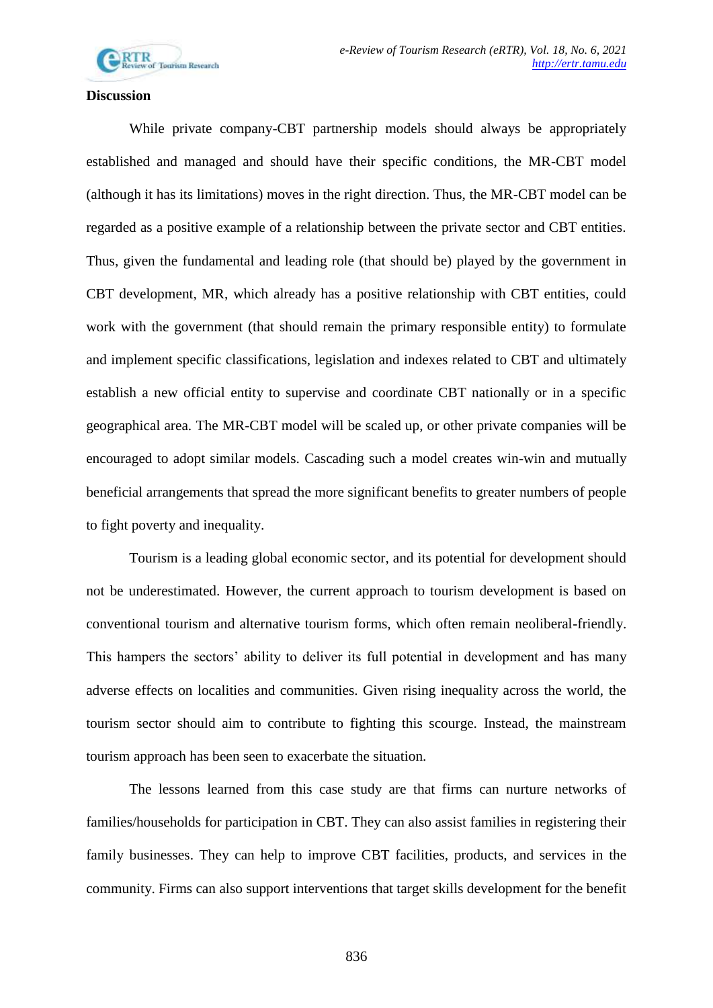

#### **Discussion**

While private company-CBT partnership models should always be appropriately established and managed and should have their specific conditions, the MR-CBT model (although it has its limitations) moves in the right direction. Thus, the MR-CBT model can be regarded as a positive example of a relationship between the private sector and CBT entities. Thus, given the fundamental and leading role (that should be) played by the government in CBT development, MR, which already has a positive relationship with CBT entities, could work with the government (that should remain the primary responsible entity) to formulate and implement specific classifications, legislation and indexes related to CBT and ultimately establish a new official entity to supervise and coordinate CBT nationally or in a specific geographical area. The MR-CBT model will be scaled up, or other private companies will be encouraged to adopt similar models. Cascading such a model creates win-win and mutually beneficial arrangements that spread the more significant benefits to greater numbers of people to fight poverty and inequality.

Tourism is a leading global economic sector, and its potential for development should not be underestimated. However, the current approach to tourism development is based on conventional tourism and alternative tourism forms, which often remain neoliberal-friendly. This hampers the sectors' ability to deliver its full potential in development and has many adverse effects on localities and communities. Given rising inequality across the world, the tourism sector should aim to contribute to fighting this scourge. Instead, the mainstream tourism approach has been seen to exacerbate the situation.

The lessons learned from this case study are that firms can nurture networks of families/households for participation in CBT. They can also assist families in registering their family businesses. They can help to improve CBT facilities, products, and services in the community. Firms can also support interventions that target skills development for the benefit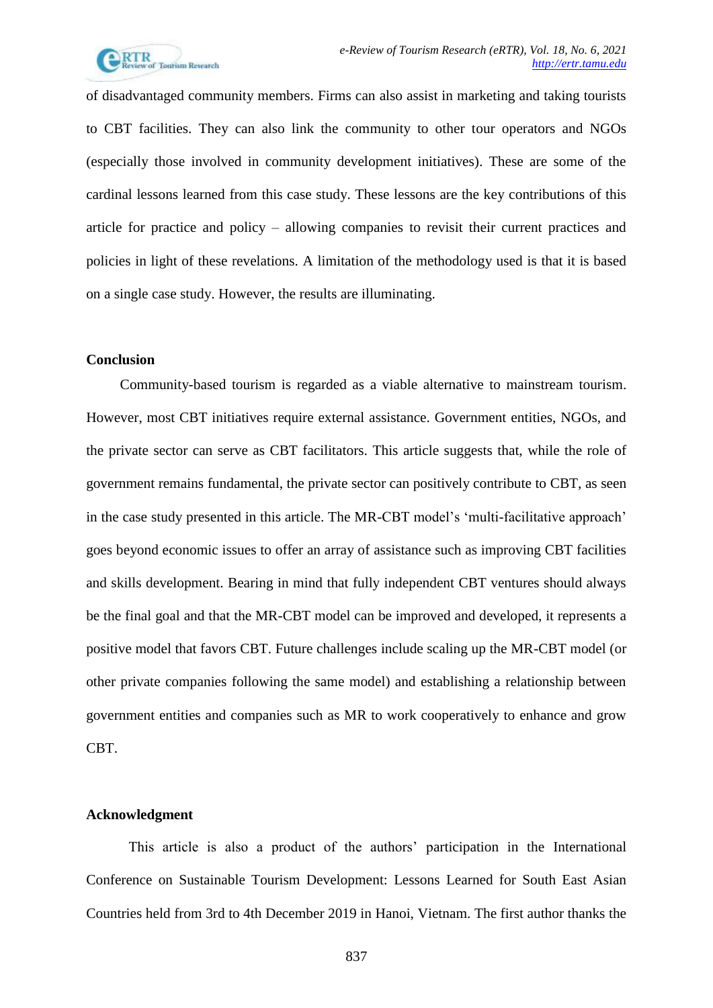

of disadvantaged community members. Firms can also assist in marketing and taking tourists to CBT facilities. They can also link the community to other tour operators and NGOs (especially those involved in community development initiatives). These are some of the cardinal lessons learned from this case study. These lessons are the key contributions of this article for practice and policy – allowing companies to revisit their current practices and policies in light of these revelations. A limitation of the methodology used is that it is based on a single case study. However, the results are illuminating.

## **Conclusion**

Community-based tourism is regarded as a viable alternative to mainstream tourism. However, most CBT initiatives require external assistance. Government entities, NGOs, and the private sector can serve as CBT facilitators. This article suggests that, while the role of government remains fundamental, the private sector can positively contribute to CBT, as seen in the case study presented in this article. The MR-CBT model's 'multi-facilitative approach' goes beyond economic issues to offer an array of assistance such as improving CBT facilities and skills development. Bearing in mind that fully independent CBT ventures should always be the final goal and that the MR-CBT model can be improved and developed, it represents a positive model that favors CBT. Future challenges include scaling up the MR-CBT model (or other private companies following the same model) and establishing a relationship between government entities and companies such as MR to work cooperatively to enhance and grow CBT.

#### **Acknowledgment**

This article is also a product of the authors' participation in the International Conference on Sustainable Tourism Development: Lessons Learned for South East Asian Countries held from 3rd to 4th December 2019 in Hanoi, Vietnam. The first author thanks the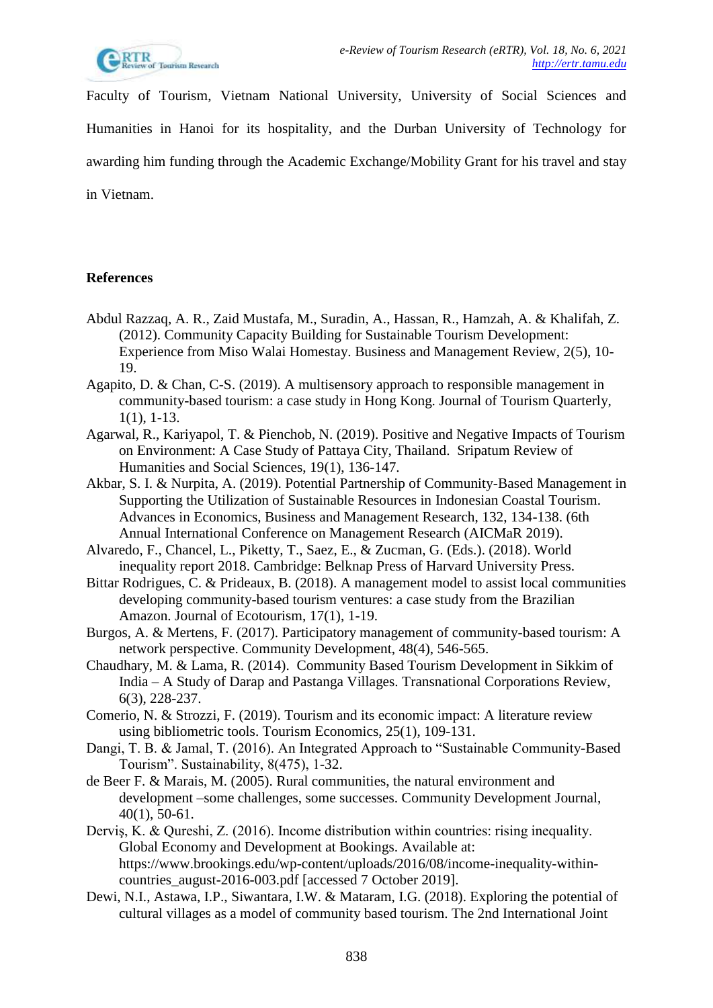

Faculty of Tourism, Vietnam National University, University of Social Sciences and Humanities in Hanoi for its hospitality, and the Durban University of Technology for awarding him funding through the Academic Exchange/Mobility Grant for his travel and stay in Vietnam.

# **References**

- Abdul Razzaq, A. R., Zaid Mustafa, M., Suradin, A., Hassan, R., Hamzah, A. & Khalifah, Z. (2012). Community Capacity Building for Sustainable Tourism Development: Experience from Miso Walai Homestay. Business and Management Review, 2(5), 10- 19.
- Agapito, D. & Chan, C-S. (2019). A multisensory approach to responsible management in community-based tourism: a case study in Hong Kong. Journal of Tourism Quarterly, 1(1), 1-13.
- Agarwal, R., Kariyapol, T. & Pienchob, N. (2019). Positive and Negative Impacts of Tourism on Environment: A Case Study of Pattaya City, Thailand. Sripatum Review of Humanities and Social Sciences, 19(1), 136-147.
- Akbar, S. I. & Nurpita, A. (2019). Potential Partnership of Community-Based Management in Supporting the Utilization of Sustainable Resources in Indonesian Coastal Tourism. Advances in Economics, Business and Management Research, 132, 134-138. (6th Annual International Conference on Management Research (AICMaR 2019).
- Alvaredo, F., Chancel, L., Piketty, T., Saez, E., & Zucman, G. (Eds.). (2018). World inequality report 2018. Cambridge: Belknap Press of Harvard University Press.
- Bittar Rodrigues, C. & Prideaux, B. (2018). A management model to assist local communities developing community-based tourism ventures: a case study from the Brazilian Amazon. Journal of Ecotourism, 17(1), 1-19.
- Burgos, A. & Mertens, F. (2017). Participatory management of community-based tourism: A network perspective. Community Development, 48(4), 546-565.
- Chaudhary, M. & Lama, R. (2014). Community Based Tourism Development in Sikkim of India – A Study of Darap and Pastanga Villages. Transnational Corporations Review, 6(3), 228-237.
- Comerio, N. & Strozzi, F. (2019). Tourism and its economic impact: A literature review using bibliometric tools. Tourism Economics, 25(1), 109-131.
- Dangi, T. B. & Jamal, T. (2016). An Integrated Approach to "Sustainable Community-Based Tourism". Sustainability, 8(475), 1-32.
- de Beer F. & Marais, M. (2005). Rural communities, the natural environment and development –some challenges, some successes. Community Development Journal, 40(1), 50-61.
- Derviş, K. & Qureshi, Z. (2016). Income distribution within countries: rising inequality. Global Economy and Development at Bookings. Available at: https://www.brookings.edu/wp-content/uploads/2016/08/income-inequality-withincountries\_august-2016-003.pdf [accessed 7 October 2019].
- Dewi, N.I., Astawa, I.P., Siwantara, I.W. & Mataram, I.G. (2018). Exploring the potential of cultural villages as a model of community based tourism. The 2nd International Joint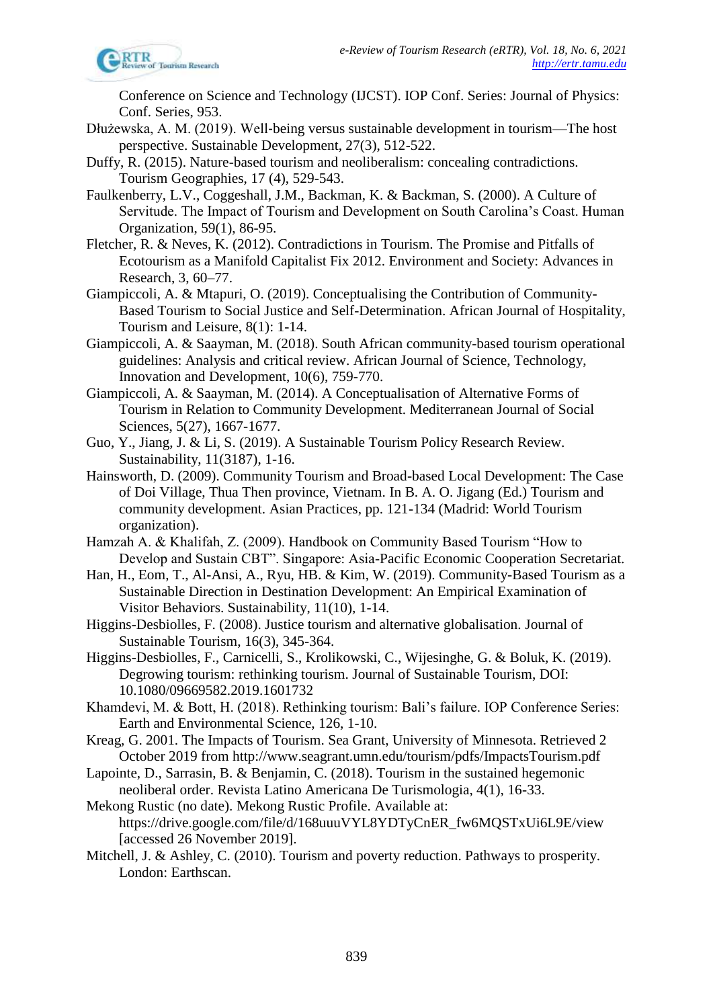

Conference on Science and Technology (IJCST). IOP Conf. Series: Journal of Physics: Conf. Series, 953.

- Dłużewska, A. M. (2019). Well‐being versus sustainable development in tourism—The host perspective. Sustainable Development, 27(3), 512-522.
- Duffy, R. (2015). Nature-based tourism and neoliberalism: concealing contradictions. Tourism Geographies, 17 (4), 529-543.
- Faulkenberry, L.V., Coggeshall, J.M., Backman, K. & Backman, S. (2000). A Culture of Servitude. The Impact of Tourism and Development on South Carolina's Coast. Human Organization, 59(1), 86-95.
- Fletcher, R. & Neves, K. (2012). Contradictions in Tourism. The Promise and Pitfalls of Ecotourism as a Manifold Capitalist Fix 2012. Environment and Society: Advances in Research, 3, 60–77.
- Giampiccoli, A. & Mtapuri, O. (2019). Conceptualising the Contribution of Community-Based Tourism to Social Justice and Self-Determination. African Journal of Hospitality, Tourism and Leisure, 8(1): 1-14.
- Giampiccoli, A. & Saayman, M. (2018). South African community-based tourism operational guidelines: Analysis and critical review. African Journal of Science, Technology, Innovation and Development, 10(6), 759-770.
- Giampiccoli, A. & Saayman, M. (2014). A Conceptualisation of Alternative Forms of Tourism in Relation to Community Development. Mediterranean Journal of Social Sciences, 5(27), 1667-1677.
- Guo, Y., Jiang, J. & Li, S. (2019). A Sustainable Tourism Policy Research Review. Sustainability, 11(3187), 1-16.
- Hainsworth, D. (2009). Community Tourism and Broad-based Local Development: The Case of Doi Village, Thua Then province, Vietnam. In B. A. O. Jigang (Ed.) Tourism and community development. Asian Practices, pp. 121-134 (Madrid: World Tourism organization).
- Hamzah A. & Khalifah, Z. (2009). Handbook on Community Based Tourism "How to Develop and Sustain CBT". Singapore: Asia-Pacific Economic Cooperation Secretariat.
- Han, H., Eom, T., Al-Ansi, A., Ryu, HB. & Kim, W. (2019). Community-Based Tourism as a Sustainable Direction in Destination Development: An Empirical Examination of Visitor Behaviors. Sustainability, 11(10), 1-14.
- Higgins-Desbiolles, F. (2008). Justice tourism and alternative globalisation. Journal of Sustainable Tourism, 16(3), 345-364.
- Higgins-Desbiolles, F., Carnicelli, S., Krolikowski, C., Wijesinghe, G. & Boluk, K. (2019). Degrowing tourism: rethinking tourism. Journal of Sustainable Tourism, DOI: 10.1080/09669582.2019.1601732
- Khamdevi, M. & Bott, H. (2018). Rethinking tourism: Bali's failure. IOP Conference Series: Earth and Environmental Science, 126, 1-10.
- Kreag, G. 2001. The Impacts of Tourism. Sea Grant, University of Minnesota. Retrieved 2 October 2019 from http://www.seagrant.umn.edu/tourism/pdfs/ImpactsTourism.pdf
- Lapointe, D., Sarrasin, B. & Benjamin, C. (2018). Tourism in the sustained hegemonic neoliberal order. Revista Latino Americana De Turismologia, 4(1), 16-33.
- Mekong Rustic (no date). Mekong Rustic Profile. Available at: https://drive.google.com/file/d/168uuuVYL8YDTyCnER\_fw6MQSTxUi6L9E/view [accessed 26 November 2019].
- Mitchell, J. & Ashley, C. (2010). Tourism and poverty reduction. Pathways to prosperity. London: Earthscan.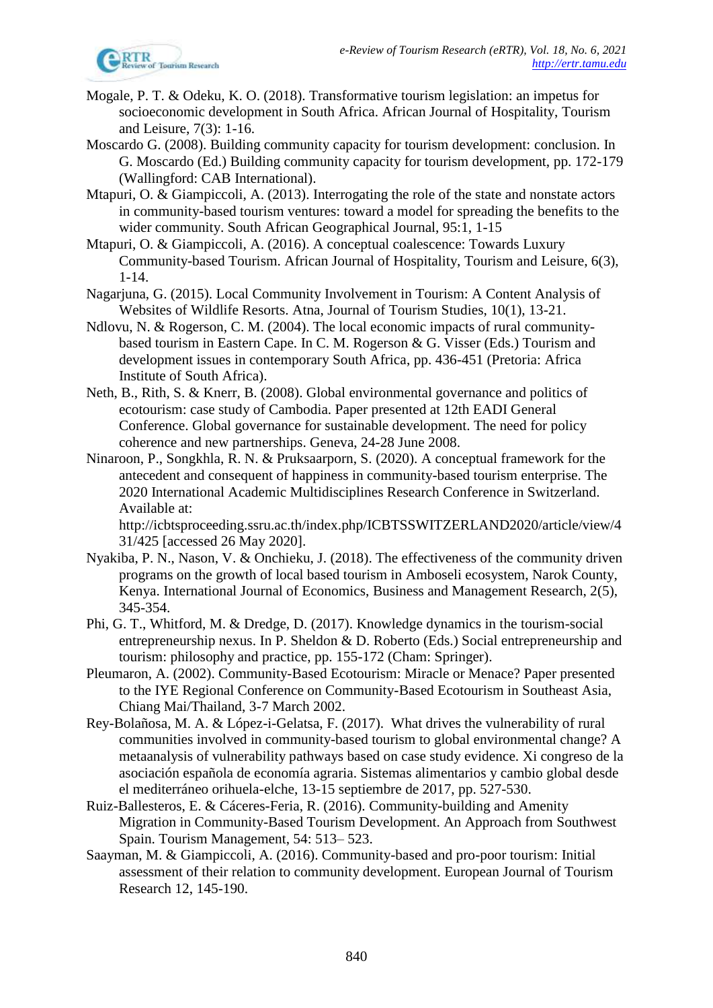

- Mogale, P. T. & Odeku, K. O. (2018). Transformative tourism legislation: an impetus for socioeconomic development in South Africa. African Journal of Hospitality, Tourism and Leisure, 7(3): 1-16.
- Moscardo G. (2008). Building community capacity for tourism development: conclusion. In G. Moscardo (Ed.) Building community capacity for tourism development, pp. 172-179 (Wallingford: CAB International).
- Mtapuri, O. & Giampiccoli, A. (2013). Interrogating the role of the state and nonstate actors in community-based tourism ventures: toward a model for spreading the benefits to the wider community. South African Geographical Journal, 95:1, 1-15
- Mtapuri, O. & Giampiccoli, A. (2016). A conceptual coalescence: Towards Luxury Community-based Tourism. African Journal of Hospitality, Tourism and Leisure, 6(3), 1-14.
- Nagarjuna, G. (2015). Local Community Involvement in Tourism: A Content Analysis of Websites of Wildlife Resorts. Atna, Journal of Tourism Studies, 10(1), 13-21.
- Ndlovu, N. & Rogerson, C. M. (2004). The local economic impacts of rural communitybased tourism in Eastern Cape. In C. M. Rogerson & G. Visser (Eds.) Tourism and development issues in contemporary South Africa, pp. 436-451 (Pretoria: Africa Institute of South Africa).
- Neth, B., Rith, S. & Knerr, B. (2008). Global environmental governance and politics of ecotourism: case study of Cambodia. Paper presented at 12th EADI General Conference. Global governance for sustainable development. The need for policy coherence and new partnerships. Geneva, 24-28 June 2008.
- Ninaroon, P., Songkhla, R. N. & Pruksaarporn, S. (2020). A conceptual framework for the antecedent and consequent of happiness in community-based tourism enterprise. The 2020 International Academic Multidisciplines Research Conference in Switzerland. Available at:

http://icbtsproceeding.ssru.ac.th/index.php/ICBTSSWITZERLAND2020/article/view/4 31/425 [accessed 26 May 2020].

- Nyakiba, P. N., Nason, V. & Onchieku, J. (2018). The effectiveness of the community driven programs on the growth of local based tourism in Amboseli ecosystem, Narok County, Kenya. International Journal of Economics, Business and Management Research, 2(5), 345-354.
- Phi, G. T., Whitford, M. & Dredge, D. (2017). Knowledge dynamics in the tourism-social entrepreneurship nexus. In P. Sheldon & D. Roberto (Eds.) Social entrepreneurship and tourism: philosophy and practice, pp. 155-172 (Cham: Springer).
- Pleumaron, A. (2002). Community-Based Ecotourism: Miracle or Menace? Paper presented to the IYE Regional Conference on Community-Based Ecotourism in Southeast Asia, Chiang Mai/Thailand, 3-7 March 2002.
- Rey-Bolañosa, M. A. & López-i-Gelatsa, F. (2017). What drives the vulnerability of rural communities involved in community-based tourism to global environmental change? A metaanalysis of vulnerability pathways based on case study evidence. Xi congreso de la asociación española de economía agraria. Sistemas alimentarios y cambio global desde el mediterráneo orihuela-elche, 13-15 septiembre de 2017, pp. 527-530.
- Ruiz-Ballesteros, E. & Cáceres-Feria, R. (2016). Community-building and Amenity Migration in Community-Based Tourism Development. An Approach from Southwest Spain. Tourism Management, 54: 513– 523.
- Saayman, M. & Giampiccoli, A. (2016). Community-based and pro-poor tourism: Initial assessment of their relation to community development. European Journal of Tourism Research 12, 145-190.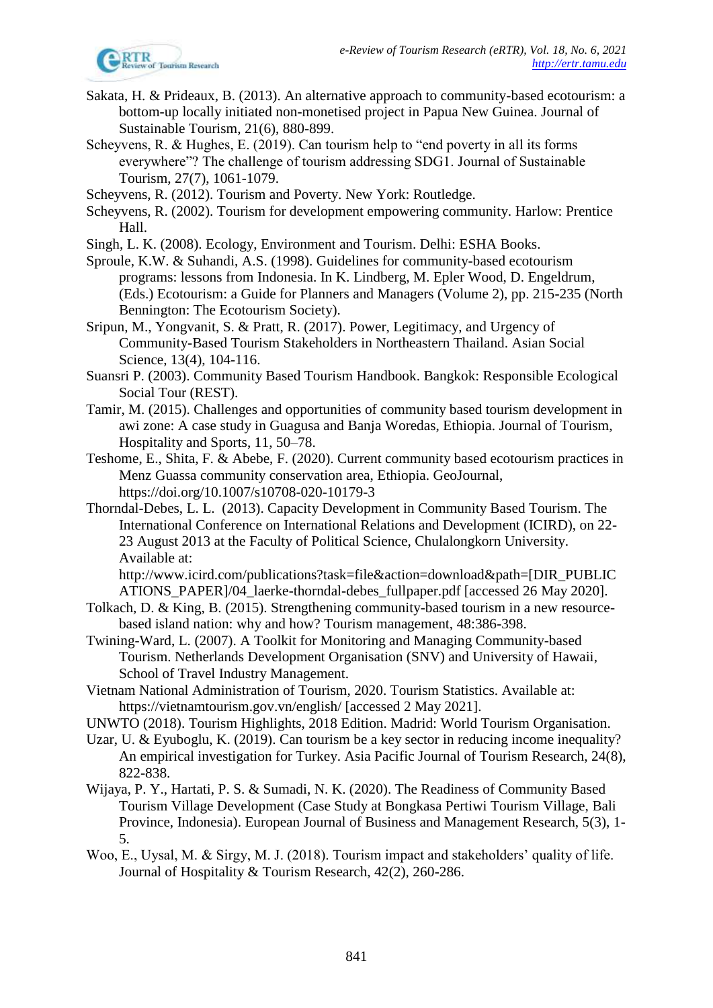- Sakata, H. & Prideaux, B. (2013). An alternative approach to community-based ecotourism: a bottom-up locally initiated non-monetised project in Papua New Guinea. Journal of Sustainable Tourism, 21(6), 880-899.
- Scheyvens, R. & Hughes, E. (2019). Can tourism help to "end poverty in all its forms everywhere"? The challenge of tourism addressing SDG1. Journal of Sustainable Tourism, 27(7), 1061-1079.
- Scheyvens, R. (2012). Tourism and Poverty. New York: Routledge.
- Scheyvens, R. (2002). Tourism for development empowering community. Harlow: Prentice Hall.
- Singh, L. K. (2008). Ecology, Environment and Tourism. Delhi: ESHA Books.
- Sproule, K.W. & Suhandi, A.S. (1998). Guidelines for community-based ecotourism programs: lessons from Indonesia. In K. Lindberg, M. Epler Wood, D. Engeldrum, (Eds.) Ecotourism: a Guide for Planners and Managers (Volume 2), pp. 215-235 (North Bennington: The Ecotourism Society).
- Sripun, M., Yongvanit, S. & Pratt, R. (2017). Power, Legitimacy, and Urgency of Community-Based Tourism Stakeholders in Northeastern Thailand. Asian Social Science, 13(4), 104-116.
- Suansri P. (2003). Community Based Tourism Handbook. Bangkok: Responsible Ecological Social Tour (REST).
- Tamir, M. (2015). Challenges and opportunities of community based tourism development in awi zone: A case study in Guagusa and Banja Woredas, Ethiopia. Journal of Tourism, Hospitality and Sports, 11, 50–78.
- Teshome, E., Shita, F. & Abebe, F. (2020). Current community based ecotourism practices in Menz Guassa community conservation area, Ethiopia. GeoJournal, https://doi.org/10.1007/s10708-020-10179-3
- Thorndal-Debes, L. L. (2013). Capacity Development in Community Based Tourism. The International Conference on International Relations and Development (ICIRD), on 22- 23 August 2013 at the Faculty of Political Science, Chulalongkorn University. Available at:

http://www.icird.com/publications?task=file&action=download&path=[DIR\_PUBLIC ATIONS\_PAPER]/04\_laerke-thorndal-debes\_fullpaper.pdf [accessed 26 May 2020].

- Tolkach, D. & King, B. (2015). Strengthening community-based tourism in a new resourcebased island nation: why and how? Tourism management, 48:386-398.
- Twining-Ward, L. (2007). A Toolkit for Monitoring and Managing Community-based Tourism. Netherlands Development Organisation (SNV) and University of Hawaii, School of Travel Industry Management.
- Vietnam National Administration of Tourism, 2020. Tourism Statistics. Available at: https://vietnamtourism.gov.vn/english/ [accessed 2 May 2021].
- UNWTO (2018). Tourism Highlights, 2018 Edition. Madrid: World Tourism Organisation.
- Uzar, U. & Eyuboglu, K. (2019). Can tourism be a key sector in reducing income inequality? An empirical investigation for Turkey. Asia Pacific Journal of Tourism Research, 24(8), 822-838.
- Wijaya, P. Y., Hartati, P. S. & Sumadi, N. K. (2020). The Readiness of Community Based Tourism Village Development (Case Study at Bongkasa Pertiwi Tourism Village, Bali Province, Indonesia). European Journal of Business and Management Research, 5(3), 1- 5.
- Woo, E., Uysal, M. & Sirgy, M. J. (2018). Tourism impact and stakeholders' quality of life. Journal of Hospitality & Tourism Research, 42(2), 260-286.